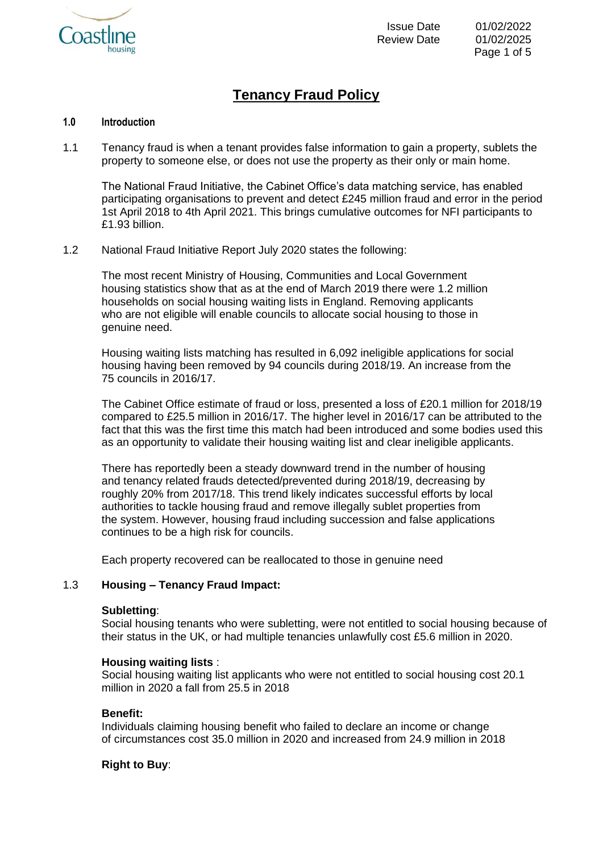

# **Tenancy Fraud Policy**

#### **1.0 Introduction**

1.1 Tenancy fraud is when a tenant provides false information to gain a property, sublets the property to someone else, or does not use the property as their only or main home.

The National Fraud Initiative, the Cabinet Office's data matching service, has enabled participating organisations to prevent and detect £245 million fraud and error in the period 1st April 2018 to 4th April 2021. This brings cumulative outcomes for NFI participants to £1.93 billion.

1.2 National Fraud Initiative Report July 2020 states the following:

The most recent Ministry of Housing, Communities and Local Government housing statistics show that as at the end of March 2019 there were 1.2 million households on social housing waiting lists in England. Removing applicants who are not eligible will enable councils to allocate social housing to those in genuine need.

Housing waiting lists matching has resulted in 6,092 ineligible applications for social housing having been removed by 94 councils during 2018/19. An increase from the 75 councils in 2016/17.

The Cabinet Office estimate of fraud or loss, presented a loss of £20.1 million for 2018/19 compared to £25.5 million in 2016/17. The higher level in 2016/17 can be attributed to the fact that this was the first time this match had been introduced and some bodies used this as an opportunity to validate their housing waiting list and clear ineligible applicants.

There has reportedly been a steady downward trend in the number of housing and tenancy related frauds detected/prevented during 2018/19, decreasing by roughly 20% from 2017/18. This trend likely indicates successful efforts by local authorities to tackle housing fraud and remove illegally sublet properties from the system. However, housing fraud including succession and false applications continues to be a high risk for councils.

Each property recovered can be reallocated to those in genuine need

# 1.3 **Housing – Tenancy Fraud Impact:**

#### **Subletting**:

Social housing tenants who were subletting, were not entitled to social housing because of their status in the UK, or had multiple tenancies unlawfully cost £5.6 million in 2020.

#### **Housing waiting lists** :

Social housing waiting list applicants who were not entitled to social housing cost 20.1 million in 2020 a fall from 25.5 in 2018

#### **Benefit:**

Individuals claiming housing benefit who failed to declare an income or change of circumstances cost 35.0 million in 2020 and increased from 24.9 million in 2018

# **Right to Buy**: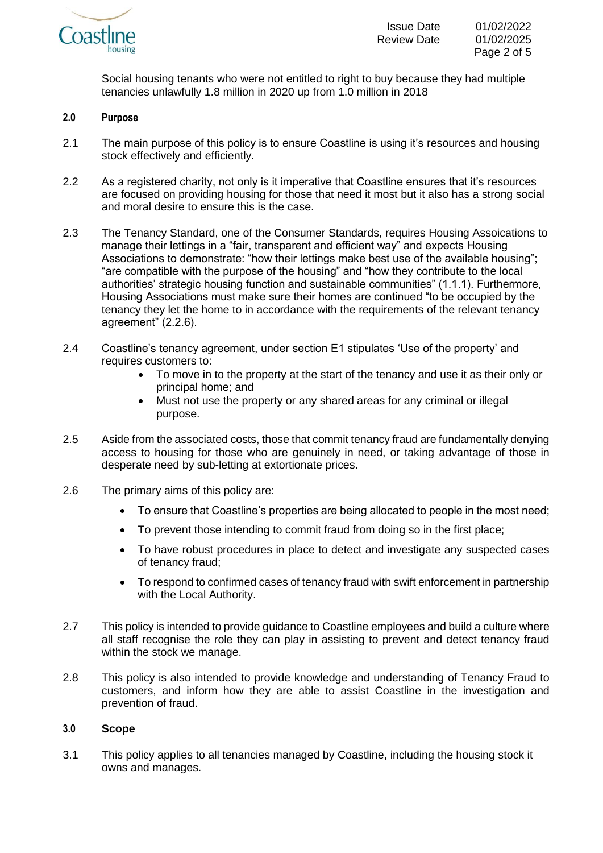

Social housing tenants who were not entitled to right to buy because they had multiple tenancies unlawfully 1.8 million in 2020 up from 1.0 million in 2018

#### **2.0 Purpose**

- 2.1 The main purpose of this policy is to ensure Coastline is using it's resources and housing stock effectively and efficiently.
- 2.2 As a registered charity, not only is it imperative that Coastline ensures that it's resources are focused on providing housing for those that need it most but it also has a strong social and moral desire to ensure this is the case.
- 2.3 The Tenancy Standard, one of the Consumer Standards, requires Housing Assoications to manage their lettings in a "fair, transparent and efficient way" and expects Housing Associations to demonstrate: "how their lettings make best use of the available housing"; "are compatible with the purpose of the housing" and "how they contribute to the local authorities' strategic housing function and sustainable communities" (1.1.1). Furthermore, Housing Associations must make sure their homes are continued "to be occupied by the tenancy they let the home to in accordance with the requirements of the relevant tenancy agreement" (2.2.6).
- 2.4 Coastline's tenancy agreement, under section E1 stipulates 'Use of the property' and requires customers to:
	- To move in to the property at the start of the tenancy and use it as their only or principal home; and
	- Must not use the property or any shared areas for any criminal or illegal purpose.
- 2.5 Aside from the associated costs, those that commit tenancy fraud are fundamentally denying access to housing for those who are genuinely in need, or taking advantage of those in desperate need by sub-letting at extortionate prices.
- 2.6 The primary aims of this policy are:
	- To ensure that Coastline's properties are being allocated to people in the most need;
	- To prevent those intending to commit fraud from doing so in the first place;
	- To have robust procedures in place to detect and investigate any suspected cases of tenancy fraud;
	- To respond to confirmed cases of tenancy fraud with swift enforcement in partnership with the Local Authority.
- 2.7 This policy is intended to provide guidance to Coastline employees and build a culture where all staff recognise the role they can play in assisting to prevent and detect tenancy fraud within the stock we manage.
- 2.8 This policy is also intended to provide knowledge and understanding of Tenancy Fraud to customers, and inform how they are able to assist Coastline in the investigation and prevention of fraud.

#### **3.0 Scope**

3.1 This policy applies to all tenancies managed by Coastline, including the housing stock it owns and manages.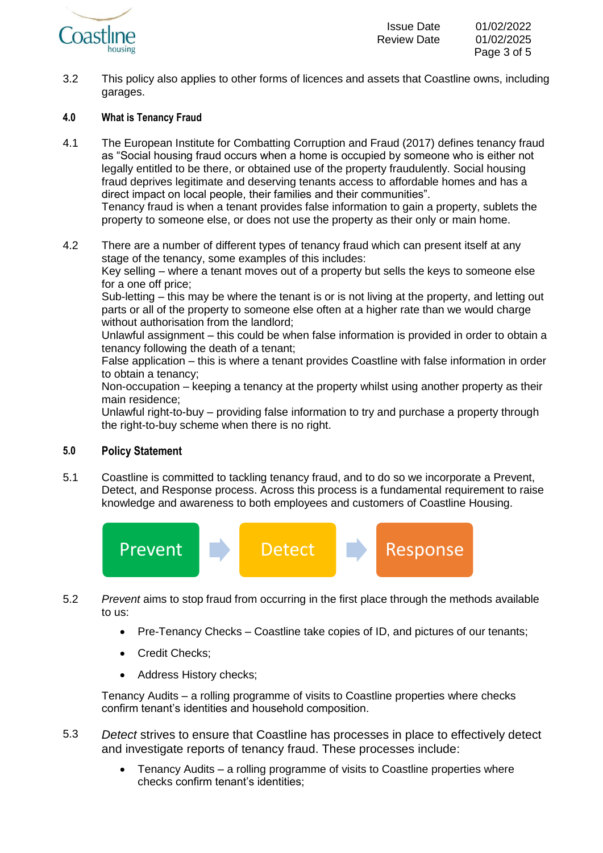

3.2 This policy also applies to other forms of licences and assets that Coastline owns, including garages.

# **4.0 What is Tenancy Fraud**

4.1 The European Institute for Combatting Corruption and Fraud (2017) defines tenancy fraud as "Social housing fraud occurs when a home is occupied by someone who is either not legally entitled to be there, or obtained use of the property fraudulently. Social housing fraud deprives legitimate and deserving tenants access to affordable homes and has a direct impact on local people, their families and their communities". Tenancy fraud is when a tenant provides false information to gain a property, sublets the

property to someone else, or does not use the property as their only or main home.

4.2 There are a number of different types of tenancy fraud which can present itself at any stage of the tenancy, some examples of this includes: Key selling – where a tenant moves out of a property but sells the keys to someone else for a one off price;

Sub-letting – this may be where the tenant is or is not living at the property, and letting out parts or all of the property to someone else often at a higher rate than we would charge without authorisation from the landlord;

Unlawful assignment – this could be when false information is provided in order to obtain a tenancy following the death of a tenant;

False application – this is where a tenant provides Coastline with false information in order to obtain a tenancy;

Non-occupation – keeping a tenancy at the property whilst using another property as their main residence;

Unlawful right-to-buy – providing false information to try and purchase a property through the right-to-buy scheme when there is no right.

# **5.0 Policy Statement**

5.1 Coastline is committed to tackling tenancy fraud, and to do so we incorporate a Prevent, Detect, and Response process. Across this process is a fundamental requirement to raise knowledge and awareness to both employees and customers of Coastline Housing.



- 5.2 *Prevent* aims to stop fraud from occurring in the first place through the methods available to us:
	- Pre-Tenancy Checks Coastline take copies of ID, and pictures of our tenants;
	- Credit Checks;
	- Address History checks;

Tenancy Audits – a rolling programme of visits to Coastline properties where checks confirm tenant's identities and household composition.

- 5.3 *Detect* strives to ensure that Coastline has processes in place to effectively detect and investigate reports of tenancy fraud. These processes include:
	- Tenancy Audits a rolling programme of visits to Coastline properties where checks confirm tenant's identities;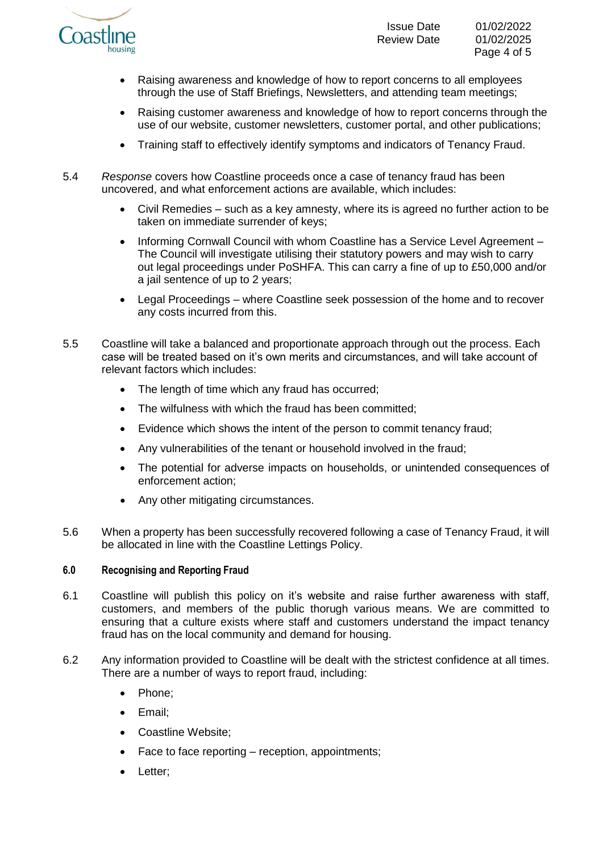

- Raising awareness and knowledge of how to report concerns to all employees through the use of Staff Briefings, Newsletters, and attending team meetings;
- Raising customer awareness and knowledge of how to report concerns through the use of our website, customer newsletters, customer portal, and other publications;
- Training staff to effectively identify symptoms and indicators of Tenancy Fraud.
- 5.4 *Response* covers how Coastline proceeds once a case of tenancy fraud has been uncovered, and what enforcement actions are available, which includes:
	- Civil Remedies such as a key amnesty, where its is agreed no further action to be taken on immediate surrender of keys;
	- Informing Cornwall Council with whom Coastline has a Service Level Agreement The Council will investigate utilising their statutory powers and may wish to carry out legal proceedings under PoSHFA. This can carry a fine of up to £50,000 and/or a jail sentence of up to 2 years;
	- Legal Proceedings where Coastline seek possession of the home and to recover any costs incurred from this.
- 5.5 Coastline will take a balanced and proportionate approach through out the process. Each case will be treated based on it's own merits and circumstances, and will take account of relevant factors which includes:
	- The length of time which any fraud has occurred;
	- The wilfulness with which the fraud has been committed:
	- Evidence which shows the intent of the person to commit tenancy fraud;
	- Any vulnerabilities of the tenant or household involved in the fraud;
	- The potential for adverse impacts on households, or unintended consequences of enforcement action;
	- Any other mitigating circumstances.
- 5.6 When a property has been successfully recovered following a case of Tenancy Fraud, it will be allocated in line with the Coastline Lettings Policy.

# **6.0 Recognising and Reporting Fraud**

- 6.1 Coastline will publish this policy on it's website and raise further awareness with staff, customers, and members of the public thorugh various means. We are committed to ensuring that a culture exists where staff and customers understand the impact tenancy fraud has on the local community and demand for housing.
- 6.2 Any information provided to Coastline will be dealt with the strictest confidence at all times. There are a number of ways to report fraud, including:
	- Phone:
	- Email;
	- Coastline Website;
	- Face to face reporting reception, appointments;
	- Letter;